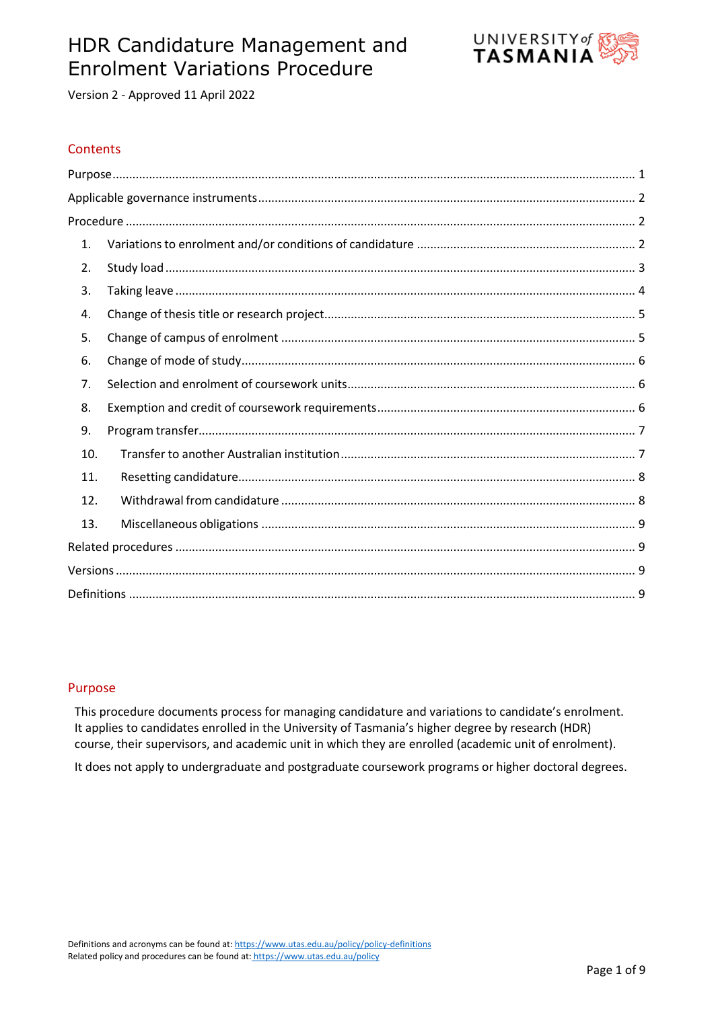# HDR Candidature Management and Enrolment Variations Procedure



Version 2 - Approved 11 April 2022

## **Contents**

| 1.  |  |
|-----|--|
| 2.  |  |
| 3.  |  |
| 4.  |  |
| 5.  |  |
| 6.  |  |
| 7.  |  |
| 8.  |  |
| 9.  |  |
| 10. |  |
| 11. |  |
| 12. |  |
| 13. |  |
|     |  |
|     |  |
|     |  |

#### <span id="page-0-0"></span>Purpose

This procedure documents process for managing candidature and variations to candidate's enrolment. It applies to candidates enrolled in the University of Tasmania's higher degree by research (HDR) course, their supervisors, and academic unit in which they are enrolled (academic unit of enrolment).

<span id="page-0-1"></span>It does not apply to undergraduate and postgraduate coursework programs or higher doctoral degrees.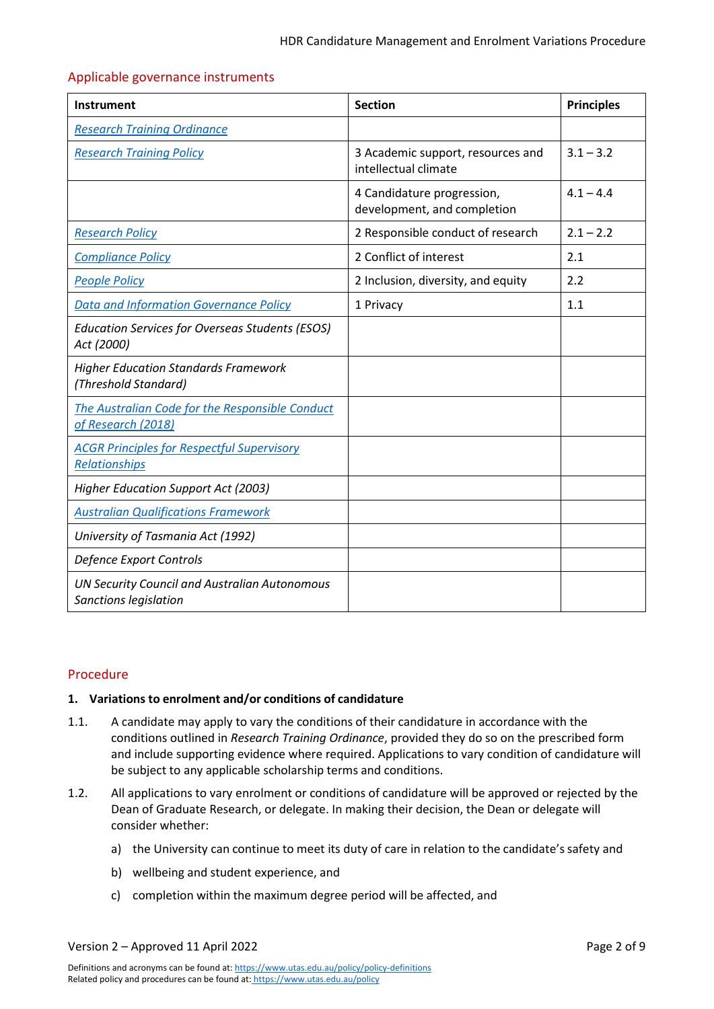#### Applicable governance instruments

| Instrument                                                                    | <b>Section</b>                                            | <b>Principles</b> |
|-------------------------------------------------------------------------------|-----------------------------------------------------------|-------------------|
| <b>Research Training Ordinance</b>                                            |                                                           |                   |
| <b>Research Training Policy</b>                                               | 3 Academic support, resources and<br>intellectual climate | $3.1 - 3.2$       |
|                                                                               | 4 Candidature progression,<br>development, and completion | $4.1 - 4.4$       |
| <b>Research Policy</b>                                                        | 2 Responsible conduct of research                         | $2.1 - 2.2$       |
| <b>Compliance Policy</b>                                                      | 2 Conflict of interest                                    | 2.1               |
| <b>People Policy</b>                                                          | 2 Inclusion, diversity, and equity                        | 2.2               |
| <b>Data and Information Governance Policy</b>                                 | 1 Privacy                                                 | 1.1               |
| <b>Education Services for Overseas Students (ESOS)</b><br>Act (2000)          |                                                           |                   |
| <b>Higher Education Standards Framework</b><br>(Threshold Standard)           |                                                           |                   |
| The Australian Code for the Responsible Conduct<br>of Research (2018)         |                                                           |                   |
| <b>ACGR Principles for Respectful Supervisory</b><br><b>Relationships</b>     |                                                           |                   |
| <b>Higher Education Support Act (2003)</b>                                    |                                                           |                   |
| <b>Australian Qualifications Framework</b>                                    |                                                           |                   |
| University of Tasmania Act (1992)                                             |                                                           |                   |
| Defence Export Controls                                                       |                                                           |                   |
| <b>UN Security Council and Australian Autonomous</b><br>Sanctions legislation |                                                           |                   |

#### <span id="page-1-0"></span>Procedure

#### <span id="page-1-1"></span>**1. Variations to enrolment and/or conditions of candidature**

- <span id="page-1-2"></span>1.1. A candidate may apply to vary the conditions of their candidature in accordance with the conditions outlined in *Research Training Ordinance*, provided they do so on the prescribed form and include supporting evidence where required. Applications to vary condition of candidature will be subject to any applicable scholarship terms and conditions.
- <span id="page-1-3"></span>1.2. All applications to vary enrolment or conditions of candidature will be approved or rejected by the Dean of Graduate Research, or delegate. In making their decision, the Dean or delegate will consider whether:
	- a) the University can continue to meet its duty of care in relation to the candidate's safety and
	- b) wellbeing and student experience, and
	- c) completion within the maximum degree period will be affected, and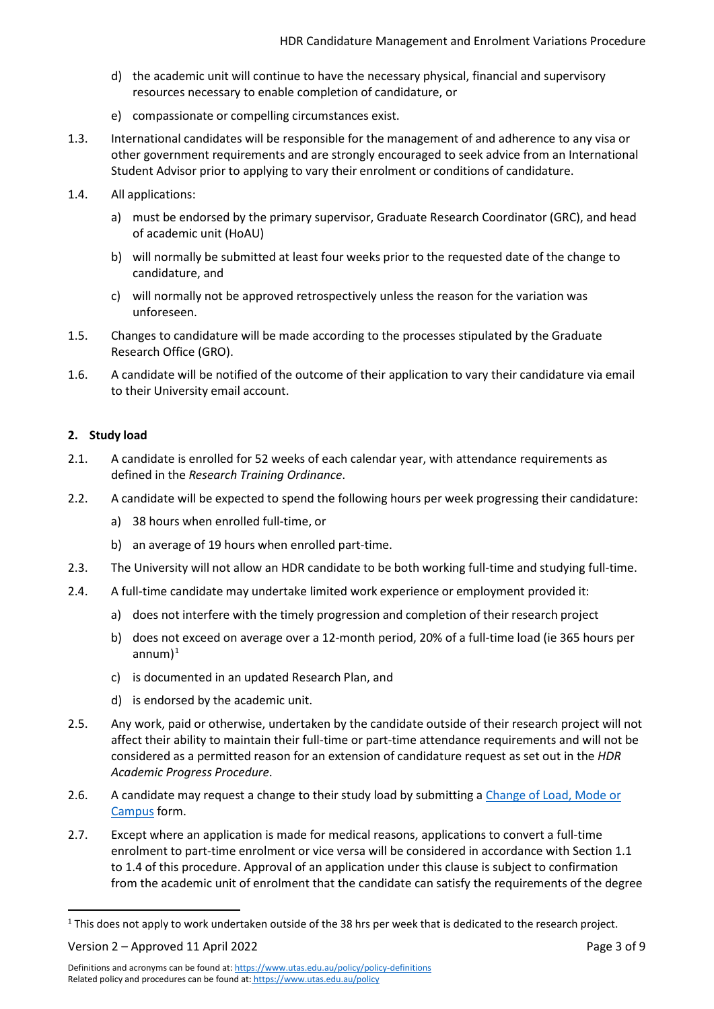- d) the academic unit will continue to have the necessary physical, financial and supervisory resources necessary to enable completion of candidature, or
- e) compassionate or compelling circumstances exist.
- 1.3. International candidates will be responsible for the management of and adherence to any visa or other government requirements and are strongly encouraged to seek advice from an International Student Advisor prior to applying to vary their enrolment or conditions of candidature.
- <span id="page-2-1"></span>1.4. All applications:
	- a) must be endorsed by the primary supervisor, Graduate Research Coordinator (GRC), and head of academic unit (HoAU)
	- b) will normally be submitted at least four weeks prior to the requested date of the change to candidature, and
	- c) will normally not be approved retrospectively unless the reason for the variation was unforeseen.
- 1.5. Changes to candidature will be made according to the processes stipulated by the Graduate Research Office (GRO).
- 1.6. A candidate will be notified of the outcome of their application to vary their candidature via email to their University email account.

### <span id="page-2-0"></span>**2. Study load**

- 2.1. A candidate is enrolled for 52 weeks of each calendar year, with attendance requirements as defined in the *Research Training Ordinance*.
- 2.2. A candidate will be expected to spend the following hours per week progressing their candidature:
	- a) 38 hours when enrolled full-time, or
	- b) an average of 19 hours when enrolled part-time.
- 2.3. The University will not allow an HDR candidate to be both working full-time and studying full-time.
- 2.4. A full-time candidate may undertake limited work experience or employment provided it:
	- a) does not interfere with the timely progression and completion of their research project
	- b) does not exceed on average over a 12-month period, 20% of a full-time load (ie 365 hours per annum $)^1$  $)^1$
	- c) is documented in an updated Research Plan, and
	- d) is endorsed by the academic unit.
- 2.5. Any work, paid or otherwise, undertaken by the candidate outside of their research project will not affect their ability to maintain their full-time or part-time attendance requirements and will not be considered as a permitted reason for an extension of candidature request as set out in the *HDR Academic Progress Procedure*.
- 2.6. A candidate may request a change to their study load by submitting a [Change of Load, Mode or](https://utas1.service-now.com/selfservice?id=sc_cat_item&sys_id=cb3540b6dbe8a3006223147a3a9619ba) [Campus](https://utas1.service-now.com/selfservice?id=sc_cat_item&sys_id=cb3540b6dbe8a3006223147a3a9619ba) form.
- 2.7. Except where an application is made for medical reasons, applications to convert a full-time enrolment to part-time enrolment or vice versa will be considered in accordance with Section [1.1](#page-1-2) t[o 1.4 o](#page-2-1)f this procedure. Approval of an application under this clause is subject to confirmation from the academic unit of enrolment that the candidate can satisfy the requirements of the degree

Version 2 – Approved 11 April 2022 Page 3 of 9

<span id="page-2-2"></span><sup>&</sup>lt;sup>1</sup> This does not apply to work undertaken outside of the 38 hrs per week that is dedicated to the research project.

Definitions and acronyms can be found at[: https://www.utas.edu.au/policy/policy-definitions](https://www.utas.edu.au/policy/policy-definitions) Related policy and procedures can be found at: <https://www.utas.edu.au/policy>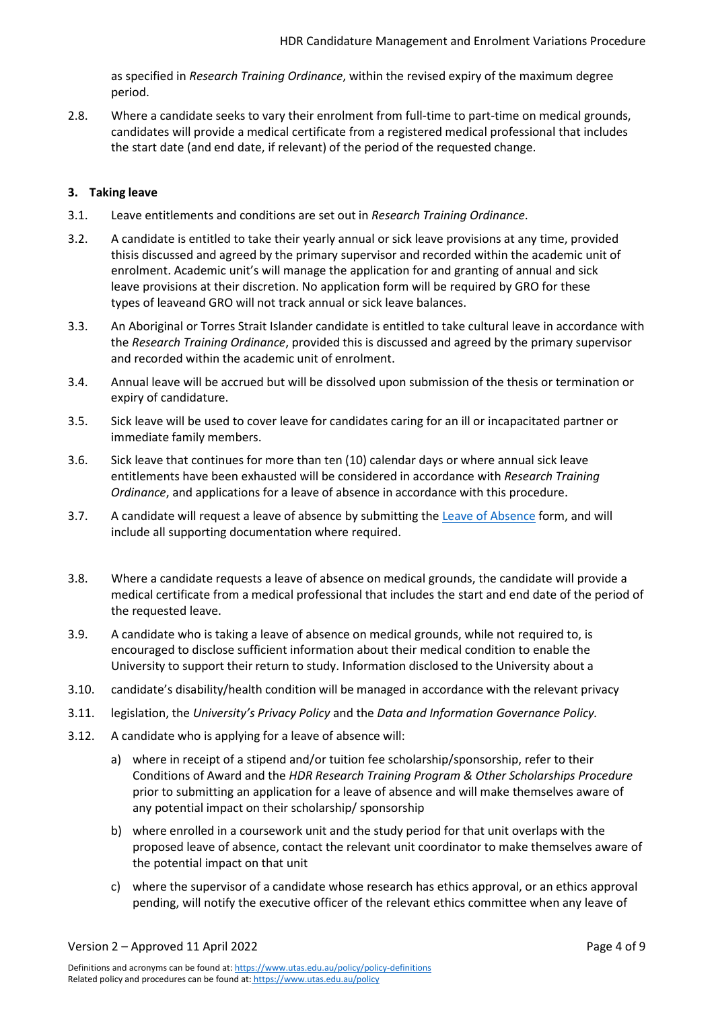as specified in *Research Training Ordinance*, within the revised expiry of the maximum degree period.

2.8. Where a candidate seeks to vary their enrolment from full-time to part-time on medical grounds, candidates will provide a medical certificate from a registered medical professional that includes the start date (and end date, if relevant) of the period of the requested change.

### <span id="page-3-0"></span>**3. Taking leave**

- 3.1. Leave entitlements and conditions are set out in *Research Training Ordinance*.
- 3.2. A candidate is entitled to take their yearly annual or sick leave provisions at any time, provided thisis discussed and agreed by the primary supervisor and recorded within the academic unit of enrolment. Academic unit's will manage the application for and granting of annual and sick leave provisions at their discretion. No application form will be required by GRO for these types of leaveand GRO will not track annual or sick leave balances.
- 3.3. An Aboriginal or Torres Strait Islander candidate is entitled to take cultural leave in accordance with the *Research Training Ordinance*, provided this is discussed and agreed by the primary supervisor and recorded within the academic unit of enrolment.
- 3.4. Annual leave will be accrued but will be dissolved upon submission of the thesis or termination or expiry of candidature.
- 3.5. Sick leave will be used to cover leave for candidates caring for an ill or incapacitated partner or immediate family members.
- 3.6. Sick leave that continues for more than ten (10) calendar days or where annual sick leave entitlements have been exhausted will be considered in accordance with *Research Training Ordinance*, and applications for a leave of absence in accordance with this procedure.
- 3.7. A candidate will request a leave of absence by submitting the [Leave of Absence](https://utas1.service-now.com/selfservice?id=sc_cat_item&sys_id=a146f61fdbb71b003fb964a14a9619e1) form, and will include all supporting documentation where required.
- 3.8. Where a candidate requests a leave of absence on medical grounds, the candidate will provide a medical certificate from a medical professional that includes the start and end date of the period of the requested leave.
- 3.9. A candidate who is taking a leave of absence on medical grounds, while not required to, is encouraged to disclose sufficient information about their medical condition to enable the University to support their return to study. Information disclosed to the University about a
- 3.10. candidate's disability/health condition will be managed in accordance with the relevant privacy
- 3.11. legislation, the *University's Privacy Policy* and the *Data and Information Governance Policy.*
- 3.12. A candidate who is applying for a leave of absence will:
	- a) where in receipt of a stipend and/or tuition fee scholarship/sponsorship, refer to their Conditions of Award and the *HDR Research Training Program & Other Scholarships Procedure* prior to submitting an application for a leave of absence and will make themselves aware of any potential impact on their scholarship/ sponsorship
	- b) where enrolled in a coursework unit and the study period for that unit overlaps with the proposed leave of absence, contact the relevant unit coordinator to make themselves aware of the potential impact on that unit
	- c) where the supervisor of a candidate whose research has ethics approval, or an ethics approval pending, will notify the executive officer of the relevant ethics committee when any leave of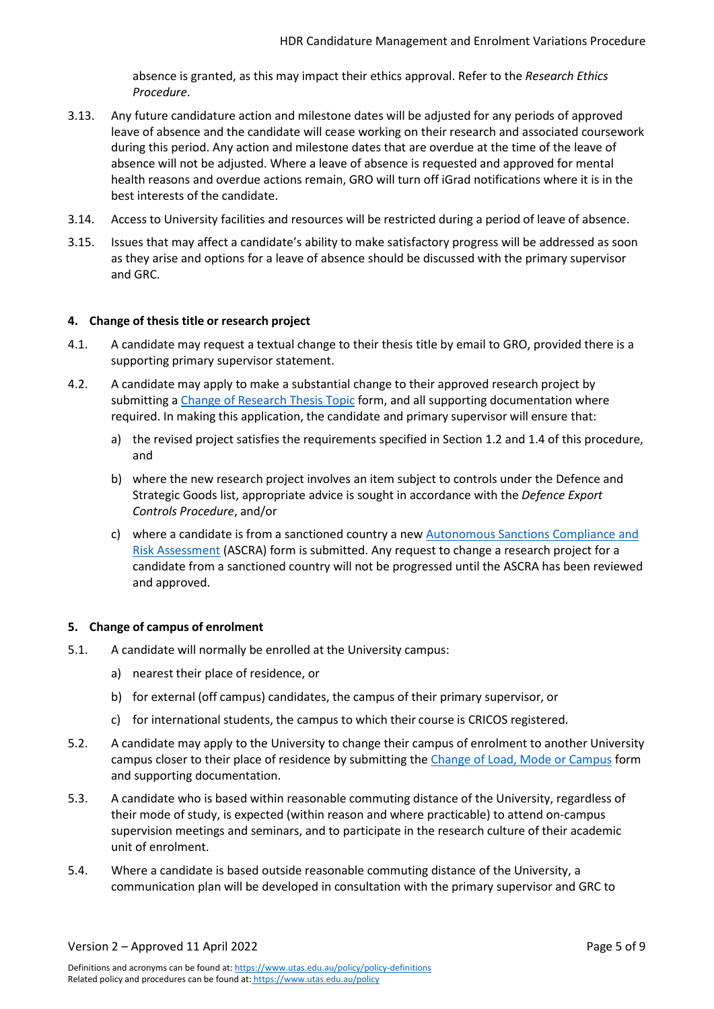absence is granted, as this may impact their ethics approval. Refer to the *Research Ethics Procedure*.

- 3.13. Any future candidature action and milestone dates will be adjusted for any periods of approved leave of absence and the candidate will cease working on their research and associated coursework during this period. Any action and milestone dates that are overdue at the time of the leave of absence will not be adjusted. Where a leave of absence is requested and approved for mental health reasons and overdue actions remain, GRO will turn off iGrad notifications where it is in the best interests of the candidate.
- 3.14. Access to University facilities and resources will be restricted during a period of leave of absence.
- 3.15. Issues that may affect a candidate's ability to make satisfactory progress will be addressed as soon as they arise and options for a leave of absence should be discussed with the primary supervisor and GRC.

#### <span id="page-4-0"></span>**4. Change of thesis title or research project**

- 4.1. A candidate may request a textual change to their thesis title by email to GRO, provided there is a supporting primary supervisor statement.
- 4.2. A candidate may apply to make a substantial change to their approved research project by submitting a [Change of Research Thesis Topic](https://utas1.service-now.com/selfservice?id=sc_cat_item&sys_id=5a7115cfdb206b003fb964a14a9619f1) form, and all supporting documentation where required. In making this application, the candidate and primary supervisor will ensure that:
	- a) the revised project satisfies the requirements specified in Section [1.2 a](#page-1-3)n[d 1.4 o](#page-2-1)f this procedure, and
	- b) where the new research project involves an item subject to controls under the Defence and Strategic Goods list, appropriate advice is sought in accordance with the *Defence Export Controls Procedure*, and/or
	- c) where a candidate is from a sanctioned country a new [Autonomous Sanctions Compliance and](https://utas1.service-now.com/selfservice?id=sc_cat_item&sys_id=3b637af7dbf0eb403fb964a14a961986) [Risk Assessment](https://utas1.service-now.com/selfservice?id=sc_cat_item&sys_id=3b637af7dbf0eb403fb964a14a961986) (ASCRA) form is submitted. Any request to change a research project for a candidate from a sanctioned country will not be progressed until the ASCRA has been reviewed and approved.

#### <span id="page-4-1"></span>**5. Change of campus of enrolment**

- 5.1. A candidate will normally be enrolled at the University campus:
	- a) nearest their place of residence, or
	- b) for external (off campus) candidates, the campus of their primary supervisor, or
	- c) for international students, the campus to which their course is CRICOS registered.
- 5.2. A candidate may apply to the University to change their campus of enrolment to another University campus closer to their place of residence by submitting the [Change of Load, Mode or Campus](https://utas1.service-now.com/selfservice?id=sc_cat_item&sys_id=cb3540b6dbe8a3006223147a3a9619ba) form and supporting documentation.
- 5.3. A candidate who is based within reasonable commuting distance of the University, regardless of their mode of study, is expected (within reason and where practicable) to attend on-campus supervision meetings and seminars, and to participate in the research culture of their academic unit of enrolment.
- 5.4. Where a candidate is based outside reasonable commuting distance of the University, a communication plan will be developed in consultation with the primary supervisor and GRC to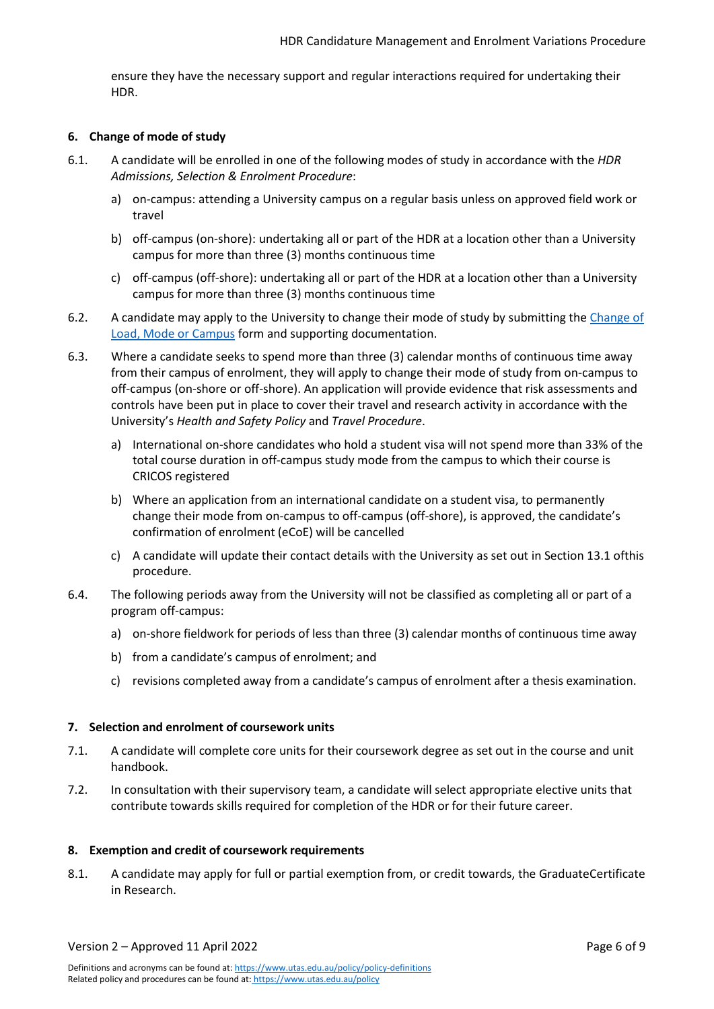ensure they have the necessary support and regular interactions required for undertaking their HDR.

#### <span id="page-5-0"></span>**6. Change of mode of study**

- 6.1. A candidate will be enrolled in one of the following modes of study in accordance with the *HDR Admissions, Selection & Enrolment Procedure*:
	- a) on-campus: attending a University campus on a regular basis unless on approved field work or travel
	- b) off-campus (on-shore): undertaking all or part of the HDR at a location other than a University campus for more than three (3) months continuous time
	- c) off-campus (off-shore): undertaking all or part of the HDR at a location other than a University campus for more than three (3) months continuous time
- 6.2. A candidate may apply to the University to change their mode of study by submitting the [Change of](https://utas1.service-now.com/selfservice?id=sc_cat_item&sys_id=cb3540b6dbe8a3006223147a3a9619ba) Load, Mode [or Campus](https://utas1.service-now.com/selfservice?id=sc_cat_item&sys_id=cb3540b6dbe8a3006223147a3a9619ba) form and supporting documentation.
- 6.3. Where a candidate seeks to spend more than three (3) calendar months of continuous time away from their campus of enrolment, they will apply to change their mode of study from on-campus to off-campus (on-shore or off-shore). An application will provide evidence that risk assessments and controls have been put in place to cover their travel and research activity in accordance with the University's *Health and Safety Policy* and *Travel Procedure*.
	- a) International on-shore candidates who hold a student visa will not spend more than 33% of the total course duration in off-campus study mode from the campus to which their course is CRICOS registered
	- b) Where an application from an international candidate on a student visa, to permanently change their mode from on-campus to off-campus (off-shore), is approved, the candidate's confirmation of enrolment (eCoE) will be cancelled
	- c) A candidate will update their contact details with the University as set out in Sectio[n 13.1 o](#page-8-4)fthis procedure.
- 6.4. The following periods away from the University will not be classified as completing all or part of a program off-campus:
	- a) on-shore fieldwork for periods of less than three (3) calendar months of continuous time away
	- b) from a candidate's campus of enrolment; and
	- c) revisions completed away from a candidate's campus of enrolment after a thesis examination.

#### <span id="page-5-1"></span>**7. Selection and enrolment of coursework units**

- 7.1. A candidate will complete core units for their coursework degree as set out in the course and unit handbook.
- 7.2. In consultation with their supervisory team, a candidate will select appropriate elective units that contribute towards skills required for completion of the HDR or for their future career.

#### <span id="page-5-2"></span>**8. Exemption and credit of coursework requirements**

8.1. A candidate may apply for full or partial exemption from, or credit towards, the GraduateCertificate in Research.

Version 2 – Approved 11 April 2022 Page 6 of 9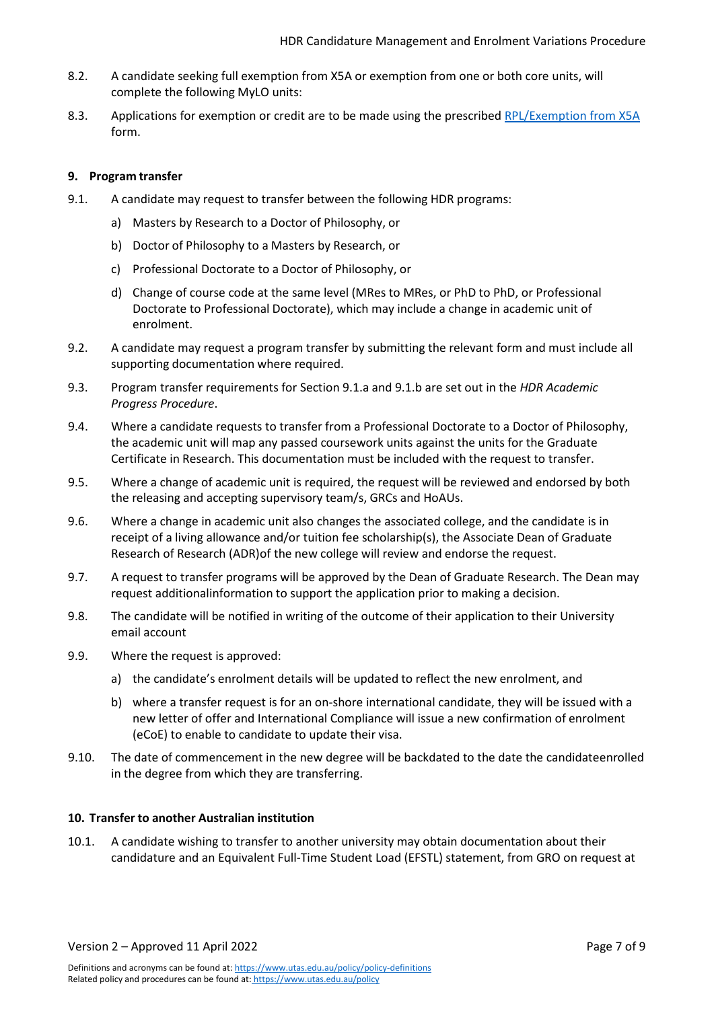- 8.2. A candidate seeking full exemption from X5A or exemption from one or both core units, will complete the following MyLO units:
- 8.3. Applications for exemption or credit are to be made using the prescribed [RPL/Exemption from X5A](https://utas1.service-now.com/selfservice?id=sc_cat_item&sys_id=c42298bbdb0da7c03fb964a14a961908) form.

#### <span id="page-6-0"></span>**9. Program transfer**

- <span id="page-6-3"></span><span id="page-6-2"></span>9.1. A candidate may request to transfer between the following HDR programs:
	- a) Masters by Research to a Doctor of Philosophy, or
	- b) Doctor of Philosophy to a Masters by Research, or
	- c) Professional Doctorate to a Doctor of Philosophy, or
	- d) Change of course code at the same level (MRes to MRes, or PhD to PhD, or Professional Doctorate to Professional Doctorate), which may include a change in academic unit of enrolment.
- 9.2. A candidate may request a program transfer by submitting the relevant form and must include all supporting documentation where required.
- 9.3. Program transfer requirements for Sectio[n 9.1.a a](#page-6-2)n[d 9.1.b a](#page-6-3)re set out in the *HDR Academic Progress Procedure*.
- 9.4. Where a candidate requests to transfer from a Professional Doctorate to a Doctor of Philosophy, the academic unit will map any passed coursework units against the units for the Graduate Certificate in Research. This documentation must be included with the request to transfer.
- 9.5. Where a change of academic unit is required, the request will be reviewed and endorsed by both the releasing and accepting supervisory team/s, GRCs and HoAUs.
- 9.6. Where a change in academic unit also changes the associated college, and the candidate is in receipt of a living allowance and/or tuition fee scholarship(s), the Associate Dean of Graduate Research of Research (ADR)of the new college will review and endorse the request.
- 9.7. A request to transfer programs will be approved by the Dean of Graduate Research. The Dean may request additionalinformation to support the application prior to making a decision.
- 9.8. The candidate will be notified in writing of the outcome of their application to their University email account
- 9.9. Where the request is approved:
	- a) the candidate's enrolment details will be updated to reflect the new enrolment, and
	- b) where a transfer request is for an on-shore international candidate, they will be issued with a new letter of offer and International Compliance will issue a new confirmation of enrolment (eCoE) to enable to candidate to update their visa.
- 9.10. The date of commencement in the new degree will be backdated to the date the candidateenrolled in the degree from which they are transferring.

#### <span id="page-6-1"></span>**10. Transfer to another Australian institution**

10.1. A candidate wishing to transfer to another university may obtain documentation about their candidature and an Equivalent Full-Time Student Load (EFSTL) statement, from GRO on request at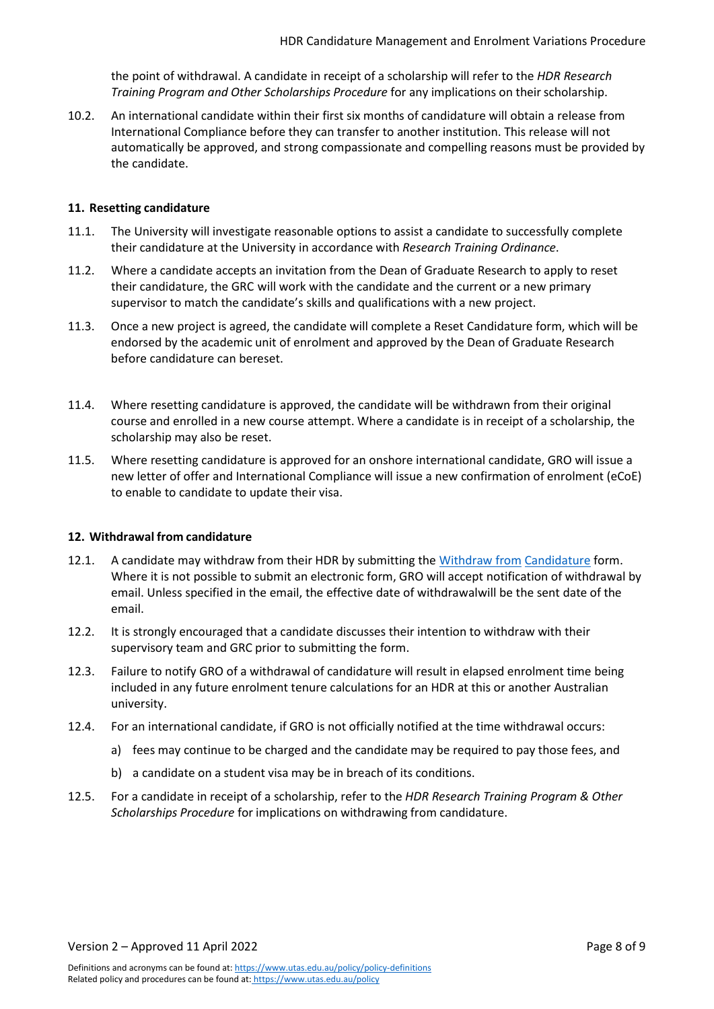the point of withdrawal. A candidate in receipt of a scholarship will refer to the *HDR Research Training Program and Other Scholarships Procedure* for any implications on theirscholarship.

10.2. An international candidate within their first six months of candidature will obtain a release from International Compliance before they can transfer to another institution. This release will not automatically be approved, and strong compassionate and compelling reasons must be provided by the candidate.

#### <span id="page-7-0"></span>**11. Resetting candidature**

- 11.1. The University will investigate reasonable options to assist a candidate to successfully complete their candidature at the University in accordance with *Research Training Ordinance*.
- 11.2. Where a candidate accepts an invitation from the Dean of Graduate Research to apply to reset their candidature, the GRC will work with the candidate and the current or a new primary supervisor to match the candidate's skills and qualifications with a new project.
- 11.3. Once a new project is agreed, the candidate will complete a Reset Candidature form, which will be endorsed by the academic unit of enrolment and approved by the Dean of Graduate Research before candidature can bereset.
- 11.4. Where resetting candidature is approved, the candidate will be withdrawn from their original course and enrolled in a new course attempt. Where a candidate is in receipt of a scholarship, the scholarship may also be reset.
- 11.5. Where resetting candidature is approved for an onshore international candidate, GRO will issue a new letter of offer and International Compliance will issue a new confirmation of enrolment (eCoE) to enable to candidate to update their visa.

#### <span id="page-7-1"></span>**12. Withdrawal from candidature**

- 12.1. A candidate may withdraw from their HDR by submitting the [Withdraw from](https://utas1.service-now.com/selfservice?id=sc_cat_item&sys_id=253e57d5db2027006223147a3a9619ac) [Candidature](https://utas1.service-now.com/selfservice?id=sc_cat_item&sys_id=253e57d5db2027006223147a3a9619ac) form. Where it is not possible to submit an electronic form, GRO will accept notification of withdrawal by email. Unless specified in the email, the effective date of withdrawalwill be the sent date of the email.
- 12.2. It is strongly encouraged that a candidate discusses their intention to withdraw with their supervisory team and GRC prior to submitting the form.
- 12.3. Failure to notify GRO of a withdrawal of candidature will result in elapsed enrolment time being included in any future enrolment tenure calculations for an HDR at this or another Australian university.
- 12.4. For an international candidate, if GRO is not officially notified at the time withdrawal occurs:
	- a) fees may continue to be charged and the candidate may be required to pay those fees, and
	- b) a candidate on a student visa may be in breach of its conditions.
- 12.5. For a candidate in receipt of a scholarship, refer to the *HDR Research Training Program & Other Scholarships Procedure* for implications on withdrawing from candidature.